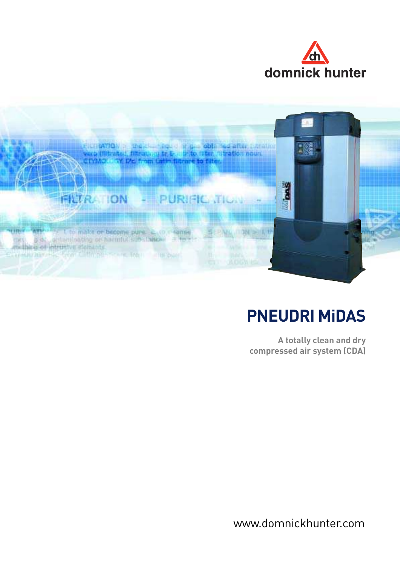



# **PNEUDRI MiDAS**

**A totally clean and dry compressed air system (CDA)**

www.domnickhunter.com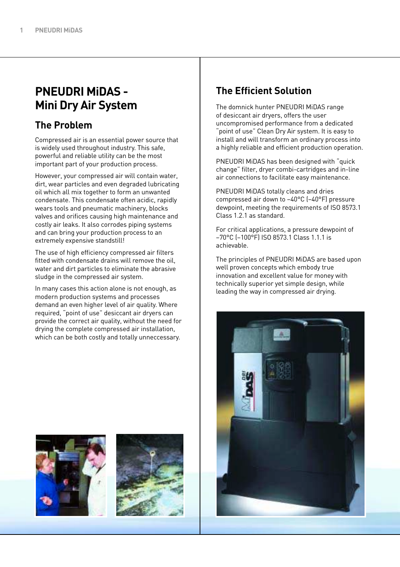## **PNEUDRI MiDAS - Mini Dry Air System**

#### **The Problem**

Compressed air is an essential power source that is widely used throughout industry. This safe, powerful and reliable utility can be the most important part of your production process.

However, your compressed air will contain water, dirt, wear particles and even degraded lubricating oil which all mix together to form an unwanted condensate. This condensate often acidic, rapidly wears tools and pneumatic machinery, blocks valves and orifices causing high maintenance and costly air leaks. It also corrodes piping systems and can bring your production process to an extremely expensive standstill!

The use of high efficiency compressed air filters fitted with condensate drains will remove the oil, water and dirt particles to eliminate the abrasive sludge in the compressed air system.

In many cases this action alone is not enough, as modern production systems and processes demand an even higher level of air quality. Where required, "point of use" desiccant air dryers can provide the correct air quality, without the need for drying the complete compressed air installation, which can be both costly and totally unneccessary.

## **The Efficient Solution**

The domnick hunter PNEUDRI MiDAS range of desiccant air dryers, offers the user uncompromised performance from a dedicated "point of use" Clean Dry Air system. It is easy to install and will transform an ordinary process into a highly reliable and efficient production operation.

PNEUDRI MiDAS has been designed with "quick change" filter, dryer combi-cartridges and in-line air connections to facilitate easy maintenance.

PNEUDRI MiDAS totally cleans and dries compressed air down to –40°C (–40°F) pressure dewpoint, meeting the requirements of ISO 8573.1 Class 1.2.1 as standard.

For critical applications, a pressure dewpoint of –70°C (–100°F) ISO 8573.1 Class 1.1.1 is achievable.

The principles of PNEUDRI MiDAS are based upon well proven concepts which embody true innovation and excellent value for money with technically superior yet simple design, while leading the way in compressed air drying.





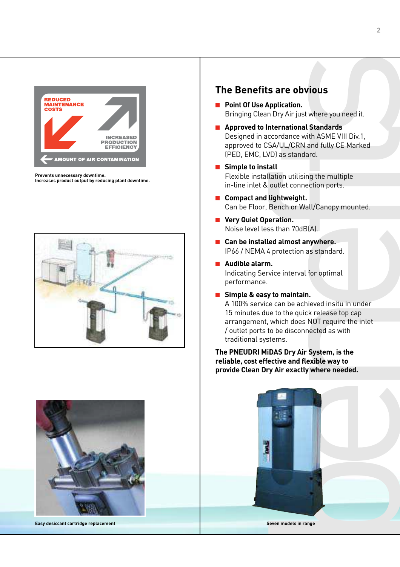

**Prevents unnecessary downtime.**

**Increases product output by reducing plant downtime.**





**Easy desiccant cartridge replacement Seven models in range**

#### **The Benefits are obvious**

- **Point Of Use Application.** Bringing Clean Dry Air just where you need it.
- **Approved to International Standards** Designed in accordance with ASME VIII Div.1, approved to CSA/UL/CRN and fully CE Marked (PED, EMC, LVD) as standard.
- **Simple to install** Flexible installation utilising the multiple in-line inlet & outlet connection ports.
- **Compact and lightweight.** Can be Floor, Bench or Wall/Canopy mounted.
- **Very Quiet Operation.** Noise level less than 70dB(A).
- Can be installed almost anywhere. IP66 / NEMA 4 protection as standard.
- **Audible alarm.** Indicating Service interval for optimal performance.
- Simple & easy to maintain.

A 100% service can be achieved insitu in under 15 minutes due to the quick release top cap arrangement, which does NOT require the inlet / outlet ports to be disconnected as with traditional systems.

**The PNEUDRI MiDAS Dry Air System, is the reliable, cost effective and flexible way to provide Clean Dry Air exactly where needed.**

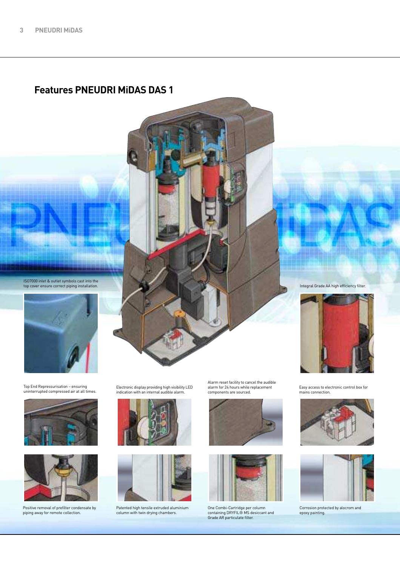#### **Features PNEUDRI MiDAS DAS 1**





ISO7000 inlet & outlet symbols cast into the top cover ensure correct piping installation.

Top End Repressurisation – ensuring uninterrupted compressed air at all times.





Positive removal of prefilter condensate by piping away for remote collection.

Electronic display providing high visibility LED indication with an internal audible alarm.





Patented high tensile extruded aluminium column with twin drying chambers.

Alarm reset facility to cancel the audible alarm for 24 hours while replacement components are sourced.





One Combi-Cartridge per column containing DRYFIL® MS desiccant and Grade AR particulate filter.

Integral Grade AA high efficiency filter.



Easy access to electronic control box for mains connection.





Corrosion protected by alocrom and epoxy painting.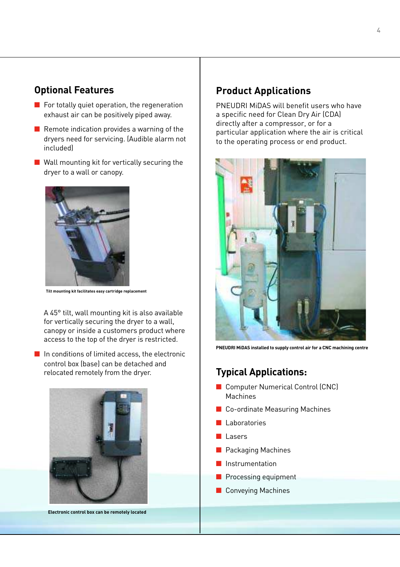#### **Optional Features**

- For totally quiet operation, the regeneration exhaust air can be positively piped away.
- Remote indication provides a warning of the dryers need for servicing. (Audible alarm not included)
- Wall mounting kit for vertically securing the dryer to a wall or canopy.



**Tilt mounting kit facilitates easy cartridge replacement**

A 45° tilt, wall mounting kit is also available for vertically securing the dryer to a wall, canopy or inside a customers product where access to the top of the dryer is restricted.

■ In conditions of limited access, the electronic control box (base) can be detached and relocated remotely from the dryer.



**Electronic control box can be remotely located**

#### **Product Applications**

PNEUDRI MiDAS will benefit users who have a specific need for Clean Dry Air (CDA) directly after a compressor, or for a particular application where the air is critical to the operating process or end product.



**PNEUDRI MiDAS installed to supply control air for a CNC machining centre**

#### **Typical Applications:**

- Computer Numerical Control (CNC) Machines
- Co-ordinate Measuring Machines
- Laboratories
- Lasers
- Packaging Machines
- Instrumentation
- Processing equipment
- Conveying Machines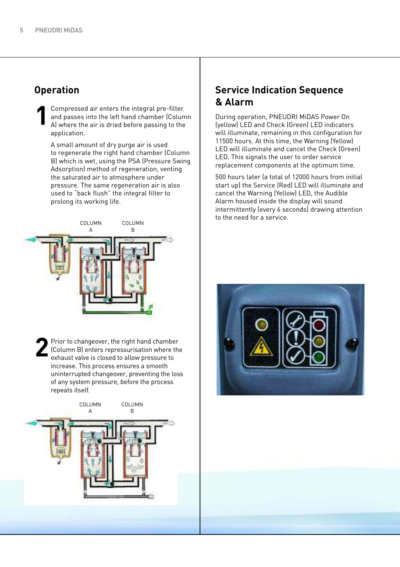#### **Operation**

Compressed air enters the integral pre-filter and passes into the left hand chamber (Column A) where the air is dried before passing to the application. **1**

A small amount of dry purge air is used to regenerate the right hand chamber (Column B) which is wet, using the PSA (Pressure Swing Adsorption) method of regeneration, venting the saturated air to atmosphere under pressure. The same regeneration air is also used to "back flush" the integral filter to prolong its working life.



Prior to changeover, the right hand chamber  $\sqrt{\frac{2}{10}}$  (Column B) enters repressurisation where the exhaust valve is closed to allow pressure to increase. This process ensures a smooth uninterrupted changeover, preventing the loss of any system pressure, before the process repeats itself. **2**



#### **Service Indication Sequence & Alarm**

During operation, PNEUDRI MiDAS Power On (yellow) LED and Check (Green) LED indicators will illuminate, remaining in this configuration for 11500 hours. At this time, the Warning (Yellow) LED will illuminate and cancel the Check (Green) LED. This signals the user to order service replacement components at the optimum time.

500 hours later (a total of 12000 hours from initial start up) the Service (Red) LED will illuminate and cancel the Warning (Yellow) LED, the Audible Alarm housed inside the display will sound intermittently (every 6 seconds) drawing attention to the need for a service.

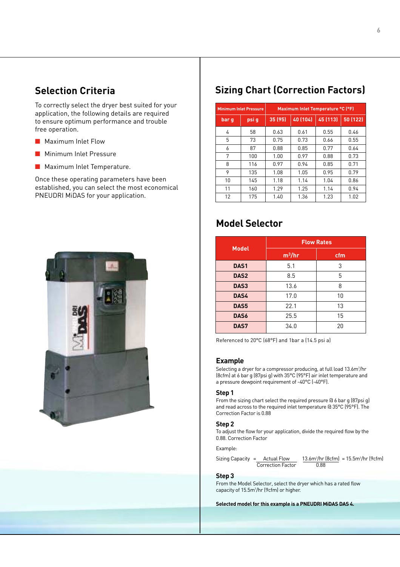### **Selection Criteria**

To correctly select the dryer best suited for your application, the following details are required to ensure optimum performance and trouble free operation.

- Maximum Inlet Flow
- Minimum Inlet Pressure
- Maximum Inlet Temperature.

Once these operating parameters have been established, you can select the most economical PNEUDRI MiDAS for your application.



## **Sizing Chart (Correction Factors)**

| <b>Minimum Inlet Pressure</b> |       | Maximum Inlet Temperature °C (°F) |          |          |          |
|-------------------------------|-------|-----------------------------------|----------|----------|----------|
| bar q                         | psi q | 35 (95)                           | 40 (104) | 45 (113) | 50 (122) |
| 4                             | 58    | 0.63                              | 0.61     | 0.55     | 0.46     |
| 5                             | 73    | 0.75                              | 0.73     | 0.66     | 0.55     |
| 6                             | 87    | 0.88                              | 0.85     | 0.77     | 0.64     |
| 7                             | 100   | 1.00                              | 0.97     | 0.88     | 0.73     |
| 8                             | 116   | 0.97                              | 0.94     | 0.85     | 0.71     |
| 9                             | 135   | 1.08                              | 1.05     | 0.95     | 0.79     |
| 10                            | 145   | 1.18                              | 1.14     | 1.04     | 0.86     |
| 11                            | 160   | 1.29                              | 1.25     | 1.14     | 0.94     |
| 12                            | 175   | 1.40                              | 1.36     | 1.23     | 1.02     |

## **Model Selector**

|                  | <b>Flow Rates</b> |     |  |
|------------------|-------------------|-----|--|
| <b>Model</b>     | $m^3/hr$          | cfm |  |
| DAS <sub>1</sub> | 5.1               | 3   |  |
| DAS <sub>2</sub> | 8.5               | 5   |  |
| DAS3             | 13.6              | 8   |  |
| DAS4             | 17.0              | 10  |  |
| DAS5             | 22.1              | 13  |  |
| DAS6             | 25.5              | 15  |  |
| DAS7             | 34.0              | 20  |  |

Referenced to 20°C (68°F) and 1bar a (14.5 psi a)

#### **Example**

Selecting a dryer for a compressor producing, at full load 13.6m<sup>3</sup>/hr (8cfm) at 6 bar g (87psi g) with 35°C (95°F) air inlet temperature and a pressure dewpoint requirement of -40°C (-40°F).

#### **Step 1**

From the sizing chart select the required pressure @ 6 bar g (87psi g) and read across to the required inlet temperature @ 35°C (95°F). The Correction Factor is 0.88

#### **Step 2**

To adjust the flow for your application, divide the required flow by the 0.88. Correction Factor

Example:

Sizing Capacity =  $\frac{\text{Actual Flow}}{\text{Correction Factor}}$   $\frac{13.6 \text{m}^3/\text{hr}}{0.88}$ /hr (8cfm) = 15.5m<sup>3</sup> /hr (9cfm) Correction Factor

#### **Step 3**

From the Model Selector, select the dryer which has a rated flow capacity of 15.5m<sup>3</sup> /hr (9cfm) or higher.

**Selected model for this example is a PNEUDRI MiDAS DAS 4.**